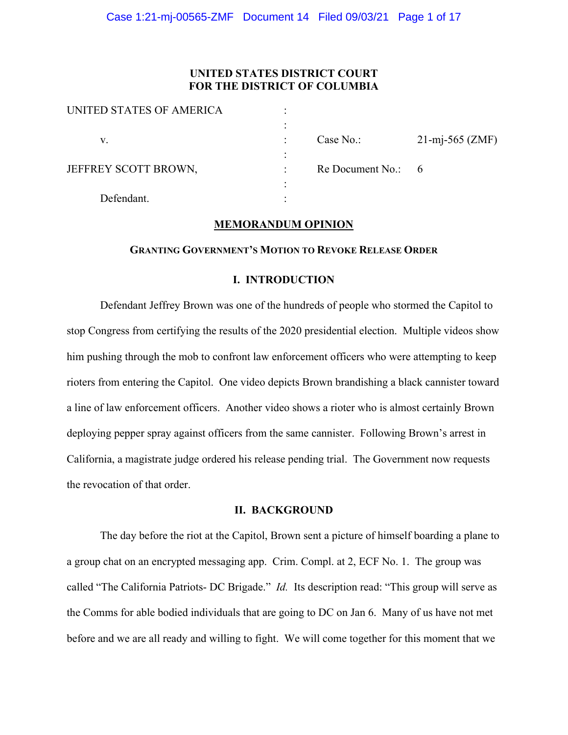# **UNITED STATES DISTRICT COURT FOR THE DISTRICT OF COLUMBIA**

| UNITED STATES OF AMERICA |                    |                          |
|--------------------------|--------------------|--------------------------|
|                          |                    |                          |
| v.                       | Case No.:          | $21\text{-mj-565 (ZMF)}$ |
|                          |                    |                          |
| JEFFREY SCOTT BROWN,     | Re Document No.: 6 |                          |
|                          |                    |                          |
| Defendant.               |                    |                          |

# **MEMORANDUM OPINION**

#### **GRANTING GOVERNMENT'S MOTION TO REVOKE RELEASE ORDER**

### **I. INTRODUCTION**

Defendant Jeffrey Brown was one of the hundreds of people who stormed the Capitol to stop Congress from certifying the results of the 2020 presidential election. Multiple videos show him pushing through the mob to confront law enforcement officers who were attempting to keep rioters from entering the Capitol. One video depicts Brown brandishing a black cannister toward a line of law enforcement officers. Another video shows a rioter who is almost certainly Brown deploying pepper spray against officers from the same cannister. Following Brown's arrest in California, a magistrate judge ordered his release pending trial. The Government now requests the revocation of that order.

# **II. BACKGROUND**

The day before the riot at the Capitol, Brown sent a picture of himself boarding a plane to a group chat on an encrypted messaging app. Crim. Compl. at 2, ECF No. 1. The group was called "The California Patriots- DC Brigade." *Id.* Its description read: "This group will serve as the Comms for able bodied individuals that are going to DC on Jan 6. Many of us have not met before and we are all ready and willing to fight. We will come together for this moment that we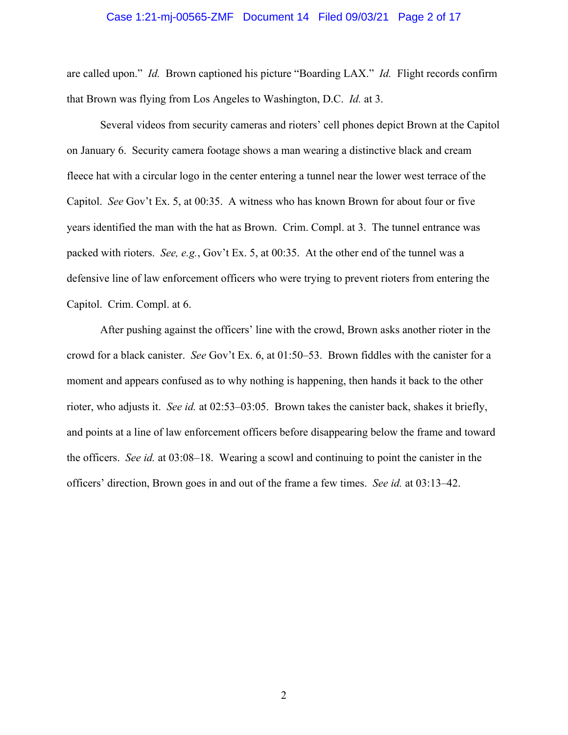#### Case 1:21-mj-00565-ZMF Document 14 Filed 09/03/21 Page 2 of 17

are called upon." *Id.* Brown captioned his picture "Boarding LAX." *Id.* Flight records confirm that Brown was flying from Los Angeles to Washington, D.C. *Id.* at 3.

Several videos from security cameras and rioters' cell phones depict Brown at the Capitol on January 6. Security camera footage shows a man wearing a distinctive black and cream fleece hat with a circular logo in the center entering a tunnel near the lower west terrace of the Capitol. *See* Gov't Ex. 5, at 00:35. A witness who has known Brown for about four or five years identified the man with the hat as Brown. Crim. Compl. at 3. The tunnel entrance was packed with rioters. *See, e.g.*, Gov't Ex. 5, at 00:35. At the other end of the tunnel was a defensive line of law enforcement officers who were trying to prevent rioters from entering the Capitol. Crim. Compl. at 6.

After pushing against the officers' line with the crowd, Brown asks another rioter in the crowd for a black canister. *See* Gov't Ex. 6, at 01:50–53. Brown fiddles with the canister for a moment and appears confused as to why nothing is happening, then hands it back to the other rioter, who adjusts it. *See id.* at 02:53–03:05. Brown takes the canister back, shakes it briefly, and points at a line of law enforcement officers before disappearing below the frame and toward the officers. *See id.* at 03:08–18. Wearing a scowl and continuing to point the canister in the officers' direction, Brown goes in and out of the frame a few times. *See id.* at 03:13–42.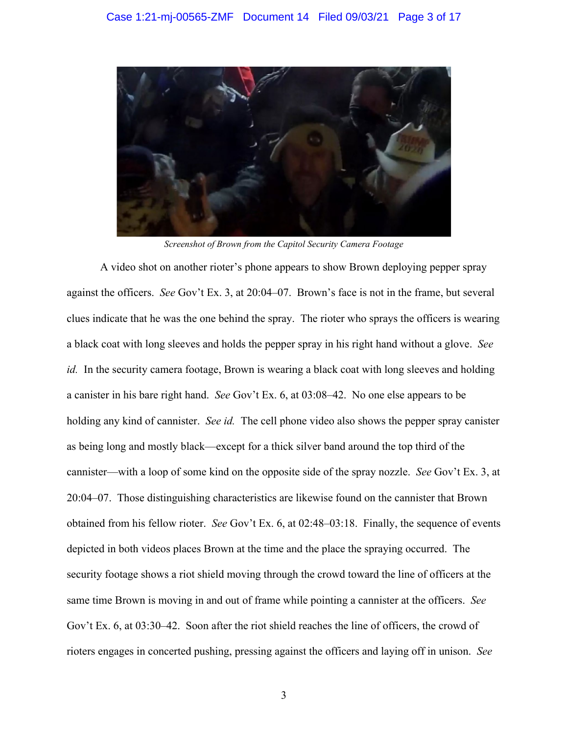

*Screenshot of Brown from the Capitol Security Camera Footage*

A video shot on another rioter's phone appears to show Brown deploying pepper spray against the officers. *See* Gov't Ex. 3, at 20:04–07. Brown's face is not in the frame, but several clues indicate that he was the one behind the spray. The rioter who sprays the officers is wearing a black coat with long sleeves and holds the pepper spray in his right hand without a glove. *See id.* In the security camera footage, Brown is wearing a black coat with long sleeves and holding a canister in his bare right hand. *See* Gov't Ex. 6, at 03:08–42. No one else appears to be holding any kind of cannister. *See id.* The cell phone video also shows the pepper spray canister as being long and mostly black—except for a thick silver band around the top third of the cannister—with a loop of some kind on the opposite side of the spray nozzle. *See* Gov't Ex. 3, at 20:04–07. Those distinguishing characteristics are likewise found on the cannister that Brown obtained from his fellow rioter. *See* Gov't Ex. 6, at 02:48–03:18. Finally, the sequence of events depicted in both videos places Brown at the time and the place the spraying occurred. The security footage shows a riot shield moving through the crowd toward the line of officers at the same time Brown is moving in and out of frame while pointing a cannister at the officers. *See*  Gov't Ex. 6, at 03:30–42. Soon after the riot shield reaches the line of officers, the crowd of rioters engages in concerted pushing, pressing against the officers and laying off in unison. *See*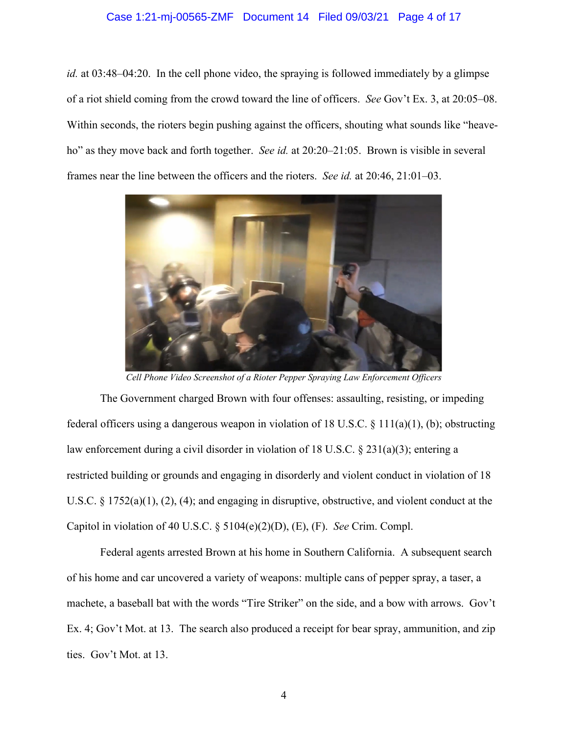### Case 1:21-mj-00565-ZMF Document 14 Filed 09/03/21 Page 4 of 17

*id.* at 03:48–04:20. In the cell phone video, the spraying is followed immediately by a glimpse of a riot shield coming from the crowd toward the line of officers. *See* Gov't Ex. 3, at 20:05–08. Within seconds, the rioters begin pushing against the officers, shouting what sounds like "heaveho" as they move back and forth together. *See id.* at 20:20–21:05. Brown is visible in several frames near the line between the officers and the rioters. *See id.* at 20:46, 21:01–03.



*Cell Phone Video Screenshot of a Rioter Pepper Spraying Law Enforcement Officers*

The Government charged Brown with four offenses: assaulting, resisting, or impeding federal officers using a dangerous weapon in violation of 18 U.S.C. § 111(a)(1), (b); obstructing law enforcement during a civil disorder in violation of 18 U.S.C. § 231(a)(3); entering a restricted building or grounds and engaging in disorderly and violent conduct in violation of 18 U.S.C. § 1752(a)(1), (2), (4); and engaging in disruptive, obstructive, and violent conduct at the Capitol in violation of 40 U.S.C. § 5104(e)(2)(D), (E), (F). *See* Crim. Compl.

Federal agents arrested Brown at his home in Southern California. A subsequent search of his home and car uncovered a variety of weapons: multiple cans of pepper spray, a taser, a machete, a baseball bat with the words "Tire Striker" on the side, and a bow with arrows. Gov't Ex. 4; Gov't Mot. at 13. The search also produced a receipt for bear spray, ammunition, and zip ties. Gov't Mot. at 13.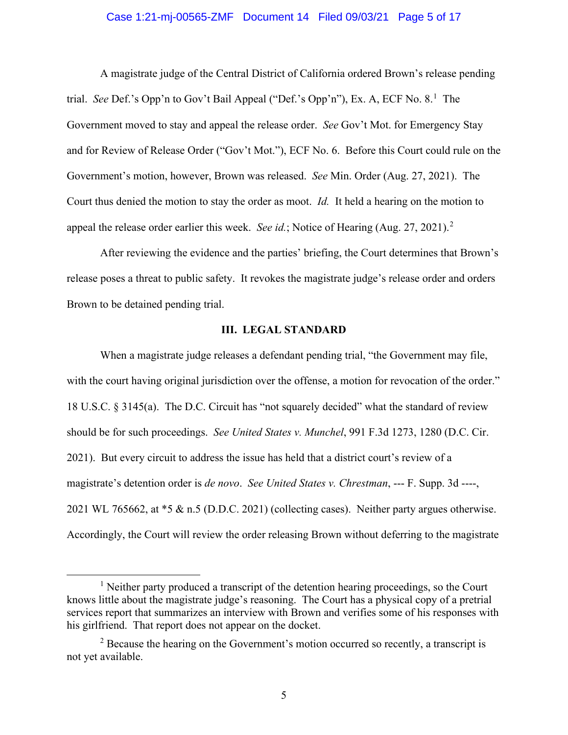### Case 1:21-mj-00565-ZMF Document 14 Filed 09/03/21 Page 5 of 17

A magistrate judge of the Central District of California ordered Brown's release pending trial. *See* Def.'s Opp'n to Gov't Bail Appeal ("Def.'s Opp'n"), Ex. A, ECF No. 8. <sup>1</sup> The Government moved to stay and appeal the release order. *See* Gov't Mot. for Emergency Stay and for Review of Release Order ("Gov't Mot."), ECF No. 6. Before this Court could rule on the Government's motion, however, Brown was released. *See* Min. Order (Aug. 27, 2021). The Court thus denied the motion to stay the order as moot. *Id.* It held a hearing on the motion to appeal the release order earlier this week. *See id.*; Notice of Hearing (Aug. 27, 2021).<sup>2</sup>

After reviewing the evidence and the parties' briefing, the Court determines that Brown's release poses a threat to public safety. It revokes the magistrate judge's release order and orders Brown to be detained pending trial.

# **III. LEGAL STANDARD**

When a magistrate judge releases a defendant pending trial, "the Government may file, with the court having original jurisdiction over the offense, a motion for revocation of the order." 18 U.S.C. § 3145(a). The D.C. Circuit has "not squarely decided" what the standard of review should be for such proceedings. *See United States v. Munchel*, 991 F.3d 1273, 1280 (D.C. Cir. 2021). But every circuit to address the issue has held that a district court's review of a magistrate's detention order is *de novo*. *See United States v. Chrestman*, --- F. Supp. 3d ----, 2021 WL 765662, at \*5 & n.5 (D.D.C. 2021) (collecting cases). Neither party argues otherwise. Accordingly, the Court will review the order releasing Brown without deferring to the magistrate

<sup>&</sup>lt;sup>1</sup> Neither party produced a transcript of the detention hearing proceedings, so the Court knows little about the magistrate judge's reasoning. The Court has a physical copy of a pretrial services report that summarizes an interview with Brown and verifies some of his responses with his girlfriend. That report does not appear on the docket.

 $2^2$  Because the hearing on the Government's motion occurred so recently, a transcript is not yet available.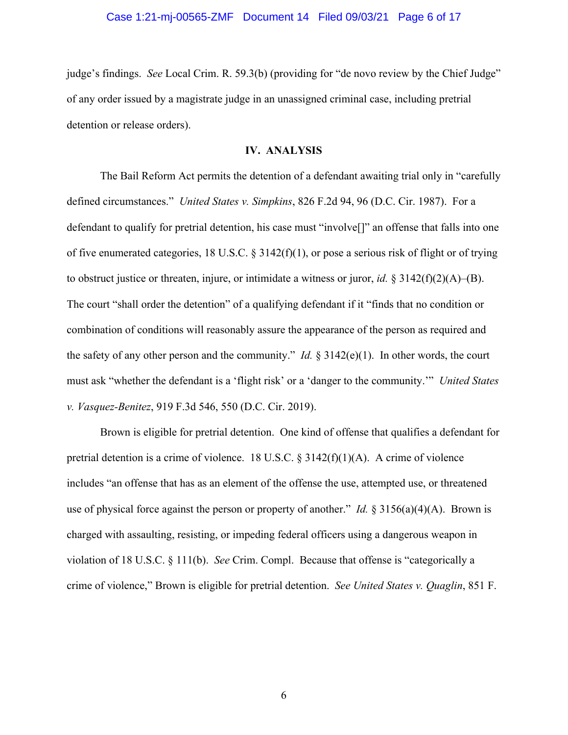#### Case 1:21-mj-00565-ZMF Document 14 Filed 09/03/21 Page 6 of 17

judge's findings. *See* Local Crim. R. 59.3(b) (providing for "de novo review by the Chief Judge" of any order issued by a magistrate judge in an unassigned criminal case, including pretrial detention or release orders).

# **IV. ANALYSIS**

The Bail Reform Act permits the detention of a defendant awaiting trial only in "carefully defined circumstances." *United States v. Simpkins*, 826 F.2d 94, 96 (D.C. Cir. 1987). For a defendant to qualify for pretrial detention, his case must "involve[]" an offense that falls into one of five enumerated categories, 18 U.S.C. § 3142(f)(1), or pose a serious risk of flight or of trying to obstruct justice or threaten, injure, or intimidate a witness or juror, *id.* § 3142(f)(2)(A)–(B). The court "shall order the detention" of a qualifying defendant if it "finds that no condition or combination of conditions will reasonably assure the appearance of the person as required and the safety of any other person and the community." *Id.*  $\S 3142(e)(1)$ . In other words, the court must ask "whether the defendant is a 'flight risk' or a 'danger to the community.'" *United States v. Vasquez-Benitez*, 919 F.3d 546, 550 (D.C. Cir. 2019).

Brown is eligible for pretrial detention. One kind of offense that qualifies a defendant for pretrial detention is a crime of violence. 18 U.S.C.  $\S 3142(f)(1)(A)$ . A crime of violence includes "an offense that has as an element of the offense the use, attempted use, or threatened use of physical force against the person or property of another." *Id.* § 3156(a)(4)(A). Brown is charged with assaulting, resisting, or impeding federal officers using a dangerous weapon in violation of 18 U.S.C. § 111(b). *See* Crim. Compl. Because that offense is "categorically a crime of violence," Brown is eligible for pretrial detention. *See United States v. Quaglin*, 851 F.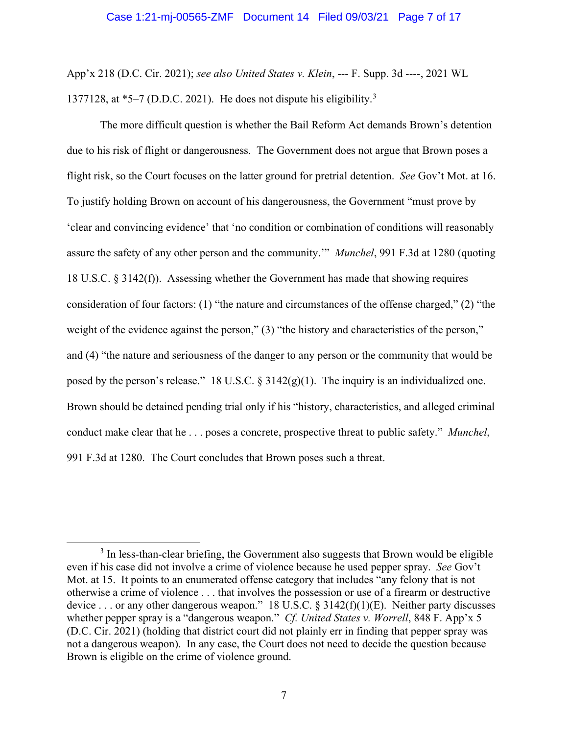#### Case 1:21-mj-00565-ZMF Document 14 Filed 09/03/21 Page 7 of 17

App'x 218 (D.C. Cir. 2021); *see also United States v. Klein*, --- F. Supp. 3d ----, 2021 WL 1377128, at  $*5-7$  (D.D.C. 2021). He does not dispute his eligibility.<sup>3</sup>

The more difficult question is whether the Bail Reform Act demands Brown's detention due to his risk of flight or dangerousness. The Government does not argue that Brown poses a flight risk, so the Court focuses on the latter ground for pretrial detention. *See* Gov't Mot. at 16. To justify holding Brown on account of his dangerousness, the Government "must prove by 'clear and convincing evidence' that 'no condition or combination of conditions will reasonably assure the safety of any other person and the community.'" *Munchel*, 991 F.3d at 1280 (quoting 18 U.S.C. § 3142(f)). Assessing whether the Government has made that showing requires consideration of four factors: (1) "the nature and circumstances of the offense charged," (2) "the weight of the evidence against the person," (3) "the history and characteristics of the person," and (4) "the nature and seriousness of the danger to any person or the community that would be posed by the person's release." 18 U.S.C.  $\S 3142(g)(1)$ . The inquiry is an individualized one. Brown should be detained pending trial only if his "history, characteristics, and alleged criminal conduct make clear that he . . . poses a concrete, prospective threat to public safety." *Munchel*, 991 F.3d at 1280. The Court concludes that Brown poses such a threat.

 $3$  In less-than-clear briefing, the Government also suggests that Brown would be eligible even if his case did not involve a crime of violence because he used pepper spray. *See* Gov't Mot. at 15. It points to an enumerated offense category that includes "any felony that is not otherwise a crime of violence . . . that involves the possession or use of a firearm or destructive device ... or any other dangerous weapon." 18 U.S.C. § 3142(f)(1)(E). Neither party discusses whether pepper spray is a "dangerous weapon." *Cf. United States v. Worrell*, 848 F. App'x 5 (D.C. Cir. 2021) (holding that district court did not plainly err in finding that pepper spray was not a dangerous weapon). In any case, the Court does not need to decide the question because Brown is eligible on the crime of violence ground.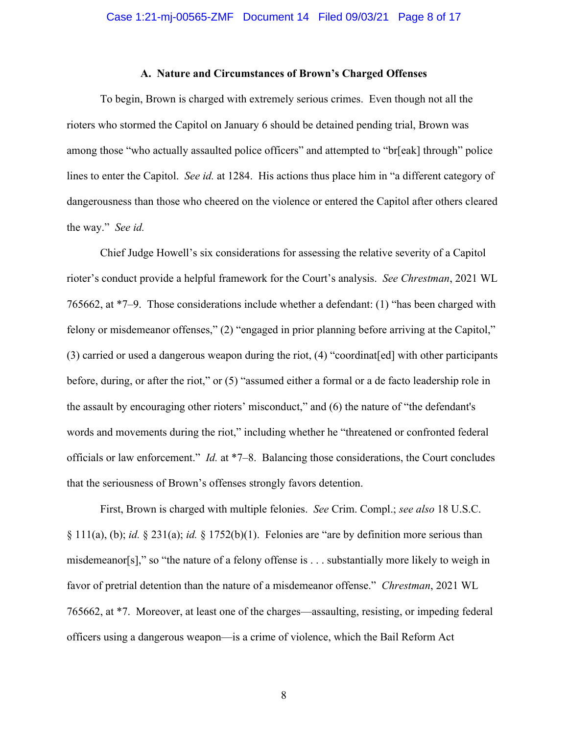# **A. Nature and Circumstances of Brown's Charged Offenses**

To begin, Brown is charged with extremely serious crimes. Even though not all the rioters who stormed the Capitol on January 6 should be detained pending trial, Brown was among those "who actually assaulted police officers" and attempted to "br[eak] through" police lines to enter the Capitol. *See id.* at 1284. His actions thus place him in "a different category of dangerousness than those who cheered on the violence or entered the Capitol after others cleared the way." *See id.*

Chief Judge Howell's six considerations for assessing the relative severity of a Capitol rioter's conduct provide a helpful framework for the Court's analysis. *See Chrestman*, 2021 WL 765662, at \*7–9. Those considerations include whether a defendant: (1) "has been charged with felony or misdemeanor offenses," (2) "engaged in prior planning before arriving at the Capitol," (3) carried or used a dangerous weapon during the riot, (4) "coordinat[ed] with other participants before, during, or after the riot," or (5) "assumed either a formal or a de facto leadership role in the assault by encouraging other rioters' misconduct," and (6) the nature of "the defendant's words and movements during the riot," including whether he "threatened or confronted federal officials or law enforcement." *Id.* at \*7–8. Balancing those considerations, the Court concludes that the seriousness of Brown's offenses strongly favors detention.

First, Brown is charged with multiple felonies. *See* Crim. Compl.; *see also* 18 U.S.C. § 111(a), (b); *id.* § 231(a); *id.* § 1752(b)(1). Felonies are "are by definition more serious than misdemeanor[s]," so "the nature of a felony offense is . . . substantially more likely to weigh in favor of pretrial detention than the nature of a misdemeanor offense." *Chrestman*, 2021 WL 765662, at \*7. Moreover, at least one of the charges—assaulting, resisting, or impeding federal officers using a dangerous weapon—is a crime of violence, which the Bail Reform Act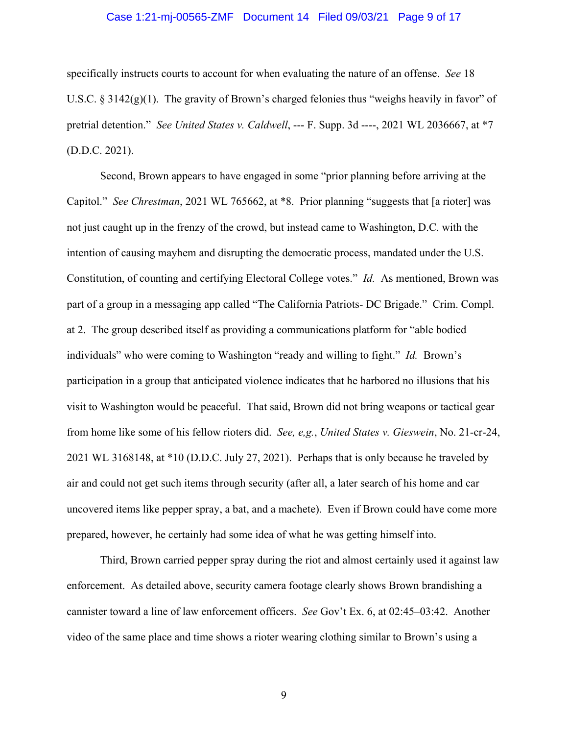## Case 1:21-mj-00565-ZMF Document 14 Filed 09/03/21 Page 9 of 17

specifically instructs courts to account for when evaluating the nature of an offense. *See* 18 U.S.C.  $\S 3142(g)(1)$ . The gravity of Brown's charged felonies thus "weighs heavily in favor" of pretrial detention." *See United States v. Caldwell*, --- F. Supp. 3d ----, 2021 WL 2036667, at \*7 (D.D.C. 2021).

Second, Brown appears to have engaged in some "prior planning before arriving at the Capitol." *See Chrestman*, 2021 WL 765662, at \*8. Prior planning "suggests that [a rioter] was not just caught up in the frenzy of the crowd, but instead came to Washington, D.C. with the intention of causing mayhem and disrupting the democratic process, mandated under the U.S. Constitution, of counting and certifying Electoral College votes." *Id.* As mentioned, Brown was part of a group in a messaging app called "The California Patriots- DC Brigade." Crim. Compl. at 2. The group described itself as providing a communications platform for "able bodied individuals" who were coming to Washington "ready and willing to fight." *Id.* Brown's participation in a group that anticipated violence indicates that he harbored no illusions that his visit to Washington would be peaceful. That said, Brown did not bring weapons or tactical gear from home like some of his fellow rioters did. *See, e,g.*, *United States v. Gieswein*, No. 21-cr-24, 2021 WL 3168148, at \*10 (D.D.C. July 27, 2021). Perhaps that is only because he traveled by air and could not get such items through security (after all, a later search of his home and car uncovered items like pepper spray, a bat, and a machete). Even if Brown could have come more prepared, however, he certainly had some idea of what he was getting himself into.

Third, Brown carried pepper spray during the riot and almost certainly used it against law enforcement. As detailed above, security camera footage clearly shows Brown brandishing a cannister toward a line of law enforcement officers. *See* Gov't Ex. 6, at 02:45–03:42. Another video of the same place and time shows a rioter wearing clothing similar to Brown's using a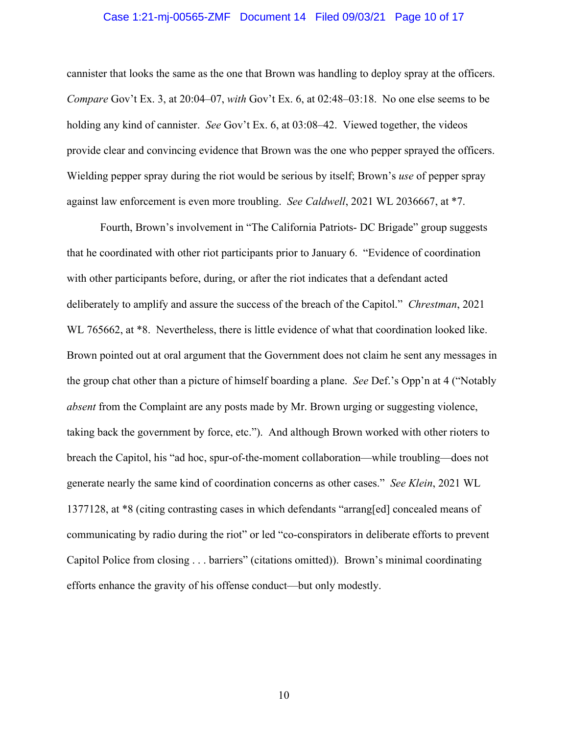### Case 1:21-mj-00565-ZMF Document 14 Filed 09/03/21 Page 10 of 17

cannister that looks the same as the one that Brown was handling to deploy spray at the officers. *Compare* Gov't Ex. 3, at 20:04–07, *with* Gov't Ex. 6, at 02:48–03:18. No one else seems to be holding any kind of cannister. *See* Gov't Ex. 6, at 03:08–42. Viewed together, the videos provide clear and convincing evidence that Brown was the one who pepper sprayed the officers. Wielding pepper spray during the riot would be serious by itself; Brown's *use* of pepper spray against law enforcement is even more troubling. *See Caldwell*, 2021 WL 2036667, at \*7.

Fourth, Brown's involvement in "The California Patriots- DC Brigade" group suggests that he coordinated with other riot participants prior to January 6. "Evidence of coordination with other participants before, during, or after the riot indicates that a defendant acted deliberately to amplify and assure the success of the breach of the Capitol." *Chrestman*, 2021 WL 765662, at \*8. Nevertheless, there is little evidence of what that coordination looked like. Brown pointed out at oral argument that the Government does not claim he sent any messages in the group chat other than a picture of himself boarding a plane. *See* Def.'s Opp'n at 4 ("Notably *absent* from the Complaint are any posts made by Mr. Brown urging or suggesting violence, taking back the government by force, etc."). And although Brown worked with other rioters to breach the Capitol, his "ad hoc, spur-of-the-moment collaboration—while troubling—does not generate nearly the same kind of coordination concerns as other cases." *See Klein*, 2021 WL 1377128, at \*8 (citing contrasting cases in which defendants "arrang[ed] concealed means of communicating by radio during the riot" or led "co-conspirators in deliberate efforts to prevent Capitol Police from closing . . . barriers" (citations omitted)). Brown's minimal coordinating efforts enhance the gravity of his offense conduct—but only modestly.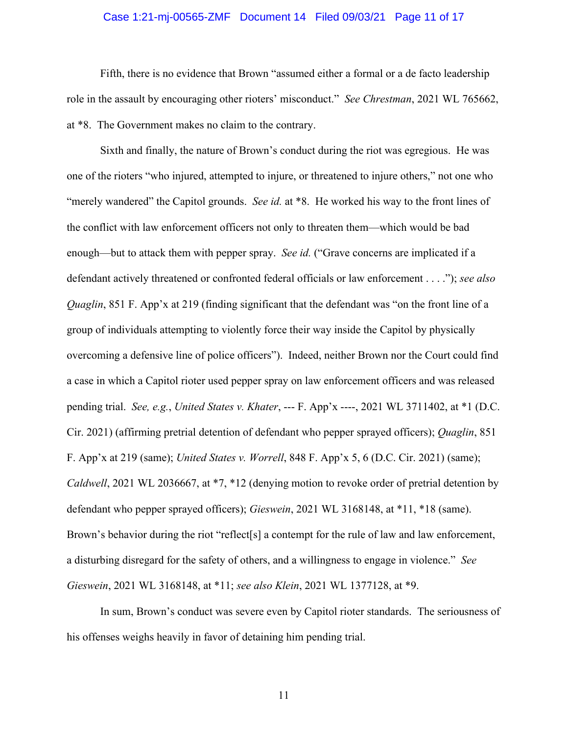## Case 1:21-mj-00565-ZMF Document 14 Filed 09/03/21 Page 11 of 17

Fifth, there is no evidence that Brown "assumed either a formal or a de facto leadership role in the assault by encouraging other rioters' misconduct." *See Chrestman*, 2021 WL 765662, at \*8. The Government makes no claim to the contrary.

Sixth and finally, the nature of Brown's conduct during the riot was egregious. He was one of the rioters "who injured, attempted to injure, or threatened to injure others," not one who "merely wandered" the Capitol grounds. *See id.* at \*8. He worked his way to the front lines of the conflict with law enforcement officers not only to threaten them—which would be bad enough—but to attack them with pepper spray. *See id.* ("Grave concerns are implicated if a defendant actively threatened or confronted federal officials or law enforcement . . . ."); *see also Quaglin*, 851 F. App'x at 219 (finding significant that the defendant was "on the front line of a group of individuals attempting to violently force their way inside the Capitol by physically overcoming a defensive line of police officers"). Indeed, neither Brown nor the Court could find a case in which a Capitol rioter used pepper spray on law enforcement officers and was released pending trial. *See, e.g.*, *United States v. Khater*, --- F. App'x ----, 2021 WL 3711402, at \*1 (D.C. Cir. 2021) (affirming pretrial detention of defendant who pepper sprayed officers); *Quaglin*, 851 F. App'x at 219 (same); *United States v. Worrell*, 848 F. App'x 5, 6 (D.C. Cir. 2021) (same); *Caldwell*, 2021 WL 2036667, at \*7, \*12 (denying motion to revoke order of pretrial detention by defendant who pepper sprayed officers); *Gieswein*, 2021 WL 3168148, at \*11, \*18 (same). Brown's behavior during the riot "reflect<sup>[s]</sup> a contempt for the rule of law and law enforcement, a disturbing disregard for the safety of others, and a willingness to engage in violence." *See Gieswein*, 2021 WL 3168148, at \*11; *see also Klein*, 2021 WL 1377128, at \*9.

In sum, Brown's conduct was severe even by Capitol rioter standards. The seriousness of his offenses weighs heavily in favor of detaining him pending trial.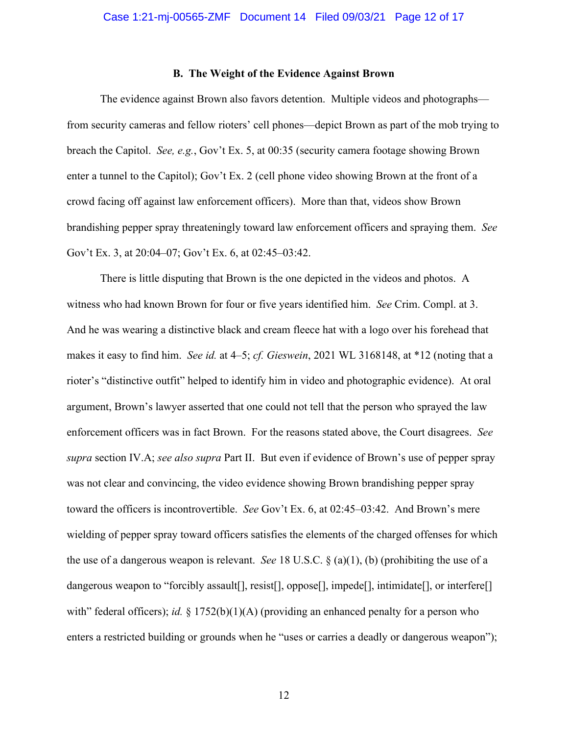# **B. The Weight of the Evidence Against Brown**

The evidence against Brown also favors detention. Multiple videos and photographs from security cameras and fellow rioters' cell phones—depict Brown as part of the mob trying to breach the Capitol. *See, e.g.*, Gov't Ex. 5, at 00:35 (security camera footage showing Brown enter a tunnel to the Capitol); Gov't Ex. 2 (cell phone video showing Brown at the front of a crowd facing off against law enforcement officers). More than that, videos show Brown brandishing pepper spray threateningly toward law enforcement officers and spraying them. *See*  Gov't Ex. 3, at 20:04–07; Gov't Ex. 6, at 02:45–03:42.

There is little disputing that Brown is the one depicted in the videos and photos. A witness who had known Brown for four or five years identified him. *See* Crim. Compl. at 3. And he was wearing a distinctive black and cream fleece hat with a logo over his forehead that makes it easy to find him. *See id.* at 4–5; *cf. Gieswein*, 2021 WL 3168148, at \*12 (noting that a rioter's "distinctive outfit" helped to identify him in video and photographic evidence). At oral argument, Brown's lawyer asserted that one could not tell that the person who sprayed the law enforcement officers was in fact Brown. For the reasons stated above, the Court disagrees. *See supra* section IV.A; *see also supra* Part II. But even if evidence of Brown's use of pepper spray was not clear and convincing, the video evidence showing Brown brandishing pepper spray toward the officers is incontrovertible. *See* Gov't Ex. 6, at 02:45–03:42. And Brown's mere wielding of pepper spray toward officers satisfies the elements of the charged offenses for which the use of a dangerous weapon is relevant. *See* 18 U.S.C. § (a)(1), (b) (prohibiting the use of a dangerous weapon to "forcibly assault[], resist[], oppose[], impede[], intimidate[], or interfere[] with" federal officers); *id.* § 1752(b)(1)(A) (providing an enhanced penalty for a person who enters a restricted building or grounds when he "uses or carries a deadly or dangerous weapon");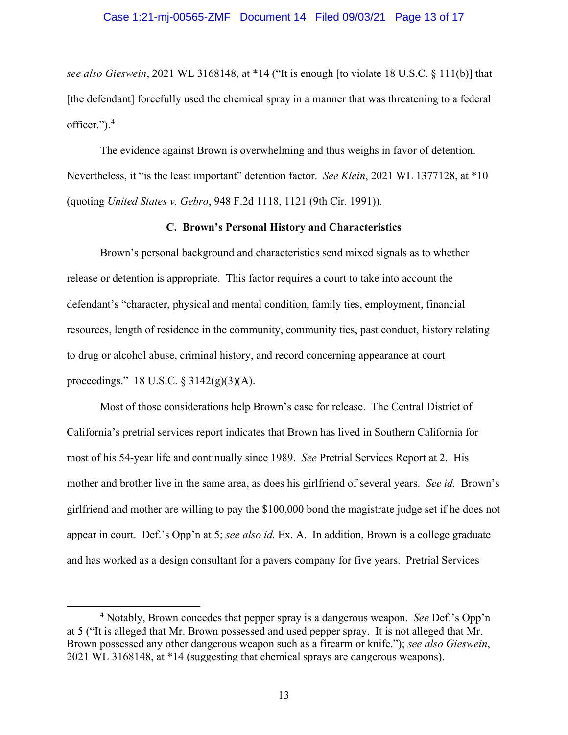*see also Gieswein*, 2021 WL 3168148, at \*14 ("It is enough [to violate 18 U.S.C. § 111(b)] that [the defendant] forcefully used the chemical spray in a manner that was threatening to a federal officer.").<sup>4</sup>

The evidence against Brown is overwhelming and thus weighs in favor of detention. Nevertheless, it "is the least important" detention factor. *See Klein*, 2021 WL 1377128, at \*10 (quoting *United States v. Gebro*, 948 F.2d 1118, 1121 (9th Cir. 1991)).

# **C. Brown's Personal History and Characteristics**

Brown's personal background and characteristics send mixed signals as to whether release or detention is appropriate. This factor requires a court to take into account the defendant's "character, physical and mental condition, family ties, employment, financial resources, length of residence in the community, community ties, past conduct, history relating to drug or alcohol abuse, criminal history, and record concerning appearance at court proceedings." 18 U.S.C. § 3142(g)(3)(A).

Most of those considerations help Brown's case for release. The Central District of California's pretrial services report indicates that Brown has lived in Southern California for most of his 54-year life and continually since 1989. *See* Pretrial Services Report at 2. His mother and brother live in the same area, as does his girlfriend of several years. *See id.* Brown's girlfriend and mother are willing to pay the \$100,000 bond the magistrate judge set if he does not appear in court. Def.'s Opp'n at 5; *see also id.* Ex. A. In addition, Brown is a college graduate and has worked as a design consultant for a pavers company for five years. Pretrial Services

<sup>4</sup> Notably, Brown concedes that pepper spray is a dangerous weapon. *See* Def.'s Opp'n at 5 ("It is alleged that Mr. Brown possessed and used pepper spray. It is not alleged that Mr. Brown possessed any other dangerous weapon such as a firearm or knife."); *see also Gieswein*, 2021 WL 3168148, at \*14 (suggesting that chemical sprays are dangerous weapons).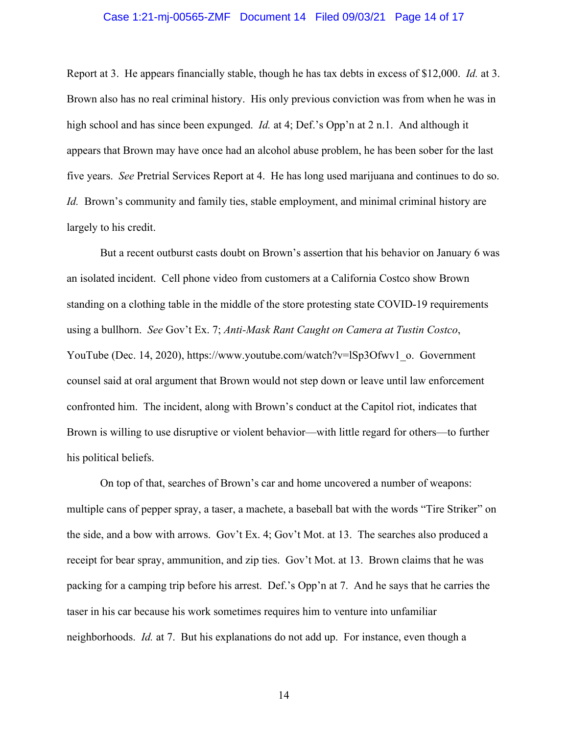### Case 1:21-mj-00565-ZMF Document 14 Filed 09/03/21 Page 14 of 17

Report at 3. He appears financially stable, though he has tax debts in excess of \$12,000. *Id.* at 3. Brown also has no real criminal history. His only previous conviction was from when he was in high school and has since been expunged. *Id.* at 4; Def.'s Opp'n at 2 n.1. And although it appears that Brown may have once had an alcohol abuse problem, he has been sober for the last five years. *See* Pretrial Services Report at 4. He has long used marijuana and continues to do so. *Id.* Brown's community and family ties, stable employment, and minimal criminal history are largely to his credit.

But a recent outburst casts doubt on Brown's assertion that his behavior on January 6 was an isolated incident. Cell phone video from customers at a California Costco show Brown standing on a clothing table in the middle of the store protesting state COVID-19 requirements using a bullhorn. *See* Gov't Ex. 7; *Anti-Mask Rant Caught on Camera at Tustin Costco*, YouTube (Dec. 14, 2020), https://www.youtube.com/watch?v=lSp3Ofwv1\_o. Government counsel said at oral argument that Brown would not step down or leave until law enforcement confronted him. The incident, along with Brown's conduct at the Capitol riot, indicates that Brown is willing to use disruptive or violent behavior—with little regard for others—to further his political beliefs.

On top of that, searches of Brown's car and home uncovered a number of weapons: multiple cans of pepper spray, a taser, a machete, a baseball bat with the words "Tire Striker" on the side, and a bow with arrows. Gov't Ex. 4; Gov't Mot. at 13. The searches also produced a receipt for bear spray, ammunition, and zip ties. Gov't Mot. at 13. Brown claims that he was packing for a camping trip before his arrest. Def.'s Opp'n at 7. And he says that he carries the taser in his car because his work sometimes requires him to venture into unfamiliar neighborhoods. *Id.* at 7. But his explanations do not add up. For instance, even though a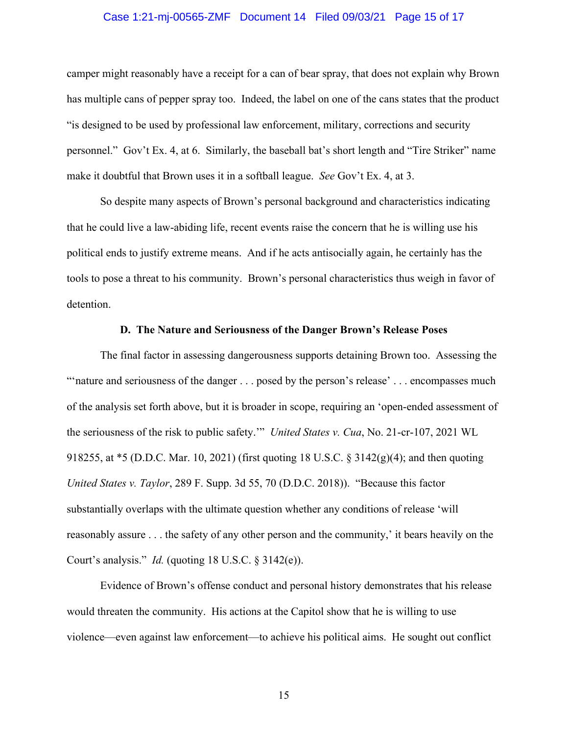### Case 1:21-mj-00565-ZMF Document 14 Filed 09/03/21 Page 15 of 17

camper might reasonably have a receipt for a can of bear spray, that does not explain why Brown has multiple cans of pepper spray too. Indeed, the label on one of the cans states that the product "is designed to be used by professional law enforcement, military, corrections and security personnel." Gov't Ex. 4, at 6. Similarly, the baseball bat's short length and "Tire Striker" name make it doubtful that Brown uses it in a softball league. *See* Gov't Ex. 4, at 3.

So despite many aspects of Brown's personal background and characteristics indicating that he could live a law-abiding life, recent events raise the concern that he is willing use his political ends to justify extreme means. And if he acts antisocially again, he certainly has the tools to pose a threat to his community. Brown's personal characteristics thus weigh in favor of detention.

### **D. The Nature and Seriousness of the Danger Brown's Release Poses**

The final factor in assessing dangerousness supports detaining Brown too. Assessing the "'nature and seriousness of the danger . . . posed by the person's release' . . . encompasses much of the analysis set forth above, but it is broader in scope, requiring an 'open-ended assessment of the seriousness of the risk to public safety.'" *United States v. Cua*, No. 21-cr-107, 2021 WL 918255, at \*5 (D.D.C. Mar. 10, 2021) (first quoting 18 U.S.C. § 3142(g)(4); and then quoting *United States v. Taylor*, 289 F. Supp. 3d 55, 70 (D.D.C. 2018)). "Because this factor substantially overlaps with the ultimate question whether any conditions of release 'will reasonably assure . . . the safety of any other person and the community,' it bears heavily on the Court's analysis." *Id.* (quoting 18 U.S.C. § 3142(e)).

Evidence of Brown's offense conduct and personal history demonstrates that his release would threaten the community. His actions at the Capitol show that he is willing to use violence—even against law enforcement—to achieve his political aims. He sought out conflict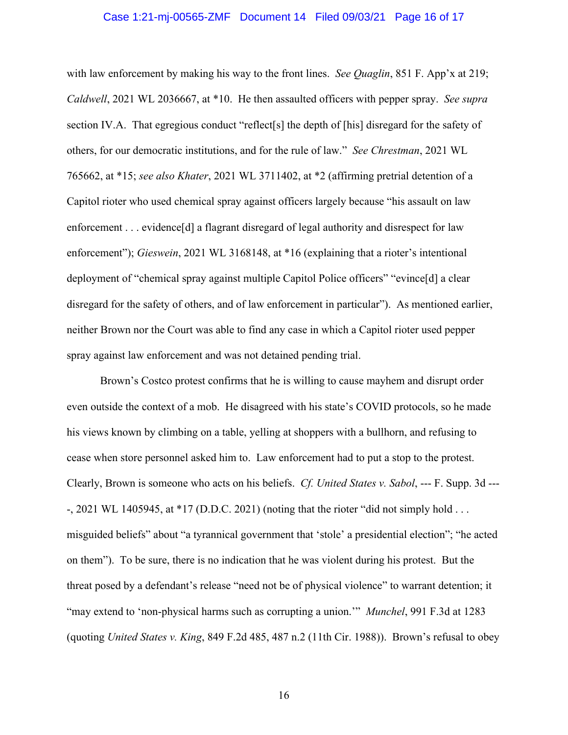### Case 1:21-mj-00565-ZMF Document 14 Filed 09/03/21 Page 16 of 17

with law enforcement by making his way to the front lines. *See Quaglin*, 851 F. App'x at 219; *Caldwell*, 2021 WL 2036667, at \*10. He then assaulted officers with pepper spray. *See supra* section IV.A. That egregious conduct "reflect<sup>[s]</sup> the depth of [his] disregard for the safety of others, for our democratic institutions, and for the rule of law." *See Chrestman*, 2021 WL 765662, at \*15; *see also Khater*, 2021 WL 3711402, at \*2 (affirming pretrial detention of a Capitol rioter who used chemical spray against officers largely because "his assault on law enforcement . . . evidence [d] a flagrant disregard of legal authority and disrespect for law enforcement"); *Gieswein*, 2021 WL 3168148, at \*16 (explaining that a rioter's intentional deployment of "chemical spray against multiple Capitol Police officers" "evince[d] a clear disregard for the safety of others, and of law enforcement in particular"). As mentioned earlier, neither Brown nor the Court was able to find any case in which a Capitol rioter used pepper spray against law enforcement and was not detained pending trial.

Brown's Costco protest confirms that he is willing to cause mayhem and disrupt order even outside the context of a mob. He disagreed with his state's COVID protocols, so he made his views known by climbing on a table, yelling at shoppers with a bullhorn, and refusing to cease when store personnel asked him to. Law enforcement had to put a stop to the protest. Clearly, Brown is someone who acts on his beliefs. *Cf. United States v. Sabol*, --- F. Supp. 3d --- -, 2021 WL 1405945, at \*17 (D.D.C. 2021) (noting that the rioter "did not simply hold . . . misguided beliefs" about "a tyrannical government that 'stole' a presidential election"; "he acted on them"). To be sure, there is no indication that he was violent during his protest. But the threat posed by a defendant's release "need not be of physical violence" to warrant detention; it "may extend to 'non-physical harms such as corrupting a union.'" *Munchel*, 991 F.3d at 1283 (quoting *United States v. King*, 849 F.2d 485, 487 n.2 (11th Cir. 1988)). Brown's refusal to obey